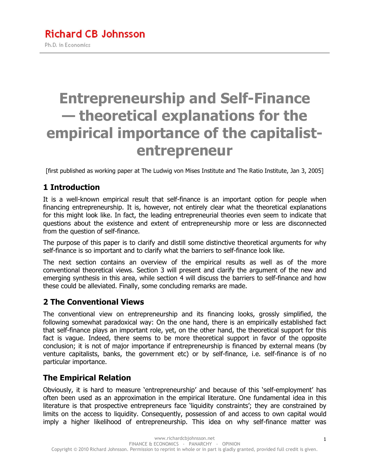# **Entrepreneurship and Self-Finance — theoretical explanations for the empirical importance of the capitalistentrepreneur**

[first published as working paper at The Ludwig von Mises Institute and The Ratio Institute, Jan 3, 2005]

#### **1 Introduction**

It is a well-known empirical result that self-finance is an important option for people when financing entrepreneurship. It is, however, not entirely clear what the theoretical explanations for this might look like. In fact, the leading entrepreneurial theories even seem to indicate that questions about the existence and extent of entrepreneurship more or less are disconnected from the question of self-finance.

The purpose of this paper is to clarify and distill some distinctive theoretical arguments for why self-finance is so important and to clarify what the barriers to self-finance look like.

The next section contains an overview of the empirical results as well as of the more conventional theoretical views. Section 3 will present and clarify the argument of the new and emerging synthesis in this area, while section 4 will discuss the barriers to self-finance and how these could be alleviated. Finally, some concluding remarks are made.

#### **2 The Conventional Views**

The conventional view on entrepreneurship and its financing looks, grossly simplified, the following somewhat paradoxical way: On the one hand, there is an empirically established fact that self-finance plays an important role, yet, on the other hand, the theoretical support for this fact is vague. Indeed, there seems to be more theoretical support in favor of the opposite conclusion; it is not of major importance if entrepreneurship is financed by external means (by venture capitalists, banks, the government etc) or by self-finance, i.e. self-finance is of no particular importance.

#### **The Empirical Relation**

Obviously, it is hard to measure 'entrepreneurship' and because of this 'self-employment' has often been used as an approximation in the empirical literature. One fundamental idea in this literature is that prospective entrepreneurs face 'liquidity constraints'; they are constrained by limits on the access to liquidity. Consequently, possession of and access to own capital would imply a higher likelihood of entrepreneurship. This idea on why self-finance matter was

1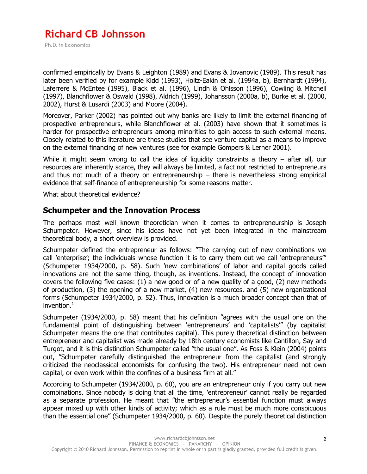confirmed empirically by Evans & Leighton (1989) and Evans & Jovanovic (1989). This result has later been verified by for example Kidd (1993), Holtz-Eakin et al. (1994a, b), Bernhardt (1994), Laferrere & McEntee (1995), Black et al. (1996), Lindh & Ohlsson (1996), Cowling & Mitchell (1997), Blanchflower & Oswald (1998), Aldrich (1999), Johansson (2000a, b), Burke et al. (2000, 2002), Hurst & Lusardi (2003) and Moore (2004).

Moreover, Parker (2002) has pointed out why banks are likely to limit the external financing of prospective entrepreneurs, while Blanchflower et al. (2003) have shown that it sometimes is harder for prospective entrepreneurs among minorities to gain access to such external means. Closely related to this literature are those studies that see venture capital as a means to improve on the external financing of new ventures (see for example Gompers & Lerner 2001).

While it might seem wrong to call the idea of liquidity constraints a theory  $-$  after all, our resources are inherently scarce, they will always be limited, a fact not restricted to entrepreneurs and thus not much of a theory on entrepreneurship  $-$  there is nevertheless strong empirical evidence that self-finance of entrepreneurship for some reasons matter.

What about theoretical evidence?

#### **Schumpeter and the Innovation Process**

The perhaps most well known theoretician when it comes to entrepreneurship is Joseph Schumpeter. However, since his ideas have not yet been integrated in the mainstream theoretical body, a short overview is provided.

Schumpeter defined the entrepreneur as follows: "The carrying out of new combinations we call 'enterprise'; the individuals whose function it is to carry them out we call 'entrepreneurs'" (Schumpeter 1934/2000, p. 58). Such 'new combinations' of labor and capital goods called innovations are not the same thing, though, as inventions. Instead, the concept of innovation covers the following five cases: (1) a new good or of a new quality of a good, (2) new methods of production, (3) the opening of a new market, (4) new resources, and (5) new organizational forms (Schumpeter 1934/2000, p. 52). Thus, innovation is a much broader concept than that of invention. $<sup>1</sup>$ </sup>

Schumpeter (1934/2000, p. 58) meant that his definition "agrees with the usual one on the fundamental point of distinguishing between 'entrepreneurs' and 'capitalists'" (by capitalist Schumpeter means the one that contributes capital). This purely theoretical distinction between entrepreneur and capitalist was made already by 18th century economists like Cantillon, Say and Turgot, and it is this distinction Schumpeter called "the usual one". As Foss & Klein (2004) points out, "Schumpeter carefully distinguished the entrepreneur from the capitalist (and strongly criticized the neoclassical economists for confusing the two). His entrepreneur need not own capital, or even work within the confines of a business firm at all."

According to Schumpeter (1934/2000, p. 60), you are an entrepreneur only if you carry out new combinations. Since nobody is doing that all the time, 'entrepreneur' cannot really be regarded as a separate profession. He meant that "the entrepreneur's essential function must always appear mixed up with other kinds of activity; which as a rule must be much more conspicuous than the essential one" (Schumpeter 1934/2000, p. 60). Despite the purely theoretical distinction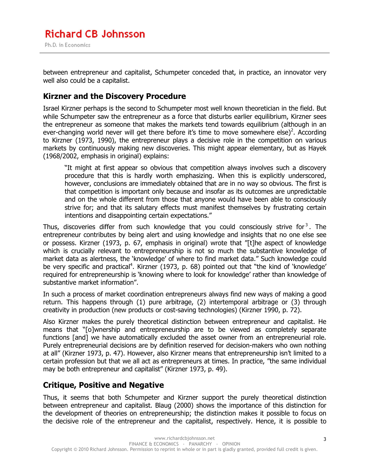between entrepreneur and capitalist, Schumpeter conceded that, in practice, an innovator very well also could be a capitalist.

#### **Kirzner and the Discovery Procedure**

Israel Kirzner perhaps is the second to Schumpeter most well known theoretician in the field. But while Schumpeter saw the entrepreneur as a force that disturbs earlier equilibrium, Kirzner sees the entrepreneur as someone that makes the markets tend towards equilibrium (although in an ever-changing world never will get there before it's time to move somewhere else)<sup>2</sup>. According to Kirzner (1973, 1990), the entrepreneur plays a decisive role in the competition on various markets by continuously making new discoveries. This might appear elementary, but as Hayek (1968/2002, emphasis in original) explains:

"It might at first appear so obvious that competition always involves such a discovery procedure that this is hardly worth emphasizing. When this is explicitly underscored, however, conclusions are immediately obtained that are in no way so obvious. The first is that competition is important only because and insofar as its outcomes are unpredictable and on the whole different from those that anyone would have been able to consciously strive for; and that its salutary effects must manifest themselves by frustrating certain intentions and disappointing certain expectations."

Thus, discoveries differ from such knowledge that you could consciously strive for<sup>3</sup>. The entrepreneur contributes by being alert and using knowledge and insights that no one else see or possess. Kirzner (1973, p. 67, emphasis in original) wrote that "[t]he aspect of knowledge which is crucially relevant to entrepreneurship is not so much the substantive knowledge of market data as alertness, the 'knowledge' of where to find market data." Such knowledge could be very specific and practical<sup>4</sup>. Kirzner (1973, p. 68) pointed out that "the kind of 'knowledge' required for entrepreneurship is 'knowing where to look for knowledge' rather than knowledge of substantive market information".

In such a process of market coordination entrepreneurs always find new ways of making a good return. This happens through (1) pure arbitrage, (2) intertemporal arbitrage or (3) through creativity in production (new products or cost-saving technologies) (Kirzner 1990, p. 72).

Also Kirzner makes the purely theoretical distinction between entrepreneur and capitalist. He means that "[o]wnership and entrepreneurship are to be viewed as completely separate functions [and] we have automatically excluded the asset owner from an entrepreneurial role. Purely entrepreneurial decisions are by definition reserved for decision-makers who own nothing at all" (Kirzner 1973, p. 47). However, also Kirzner means that entrepreneurship isn't limited to a certain profession but that we all act as entrepreneurs at times. In practice, "the same individual may be both entrepreneur and capitalist" (Kirzner 1973, p. 49).

#### **Critique, Positive and Negative**

Thus, it seems that both Schumpeter and Kirzner support the purely theoretical distinction between entrepreneur and capitalist. Blaug (2000) shows the importance of this distinction for the development of theories on entrepreneurship; the distinction makes it possible to focus on the decisive role of the entrepreneur and the capitalist, respectively. Hence, it is possible to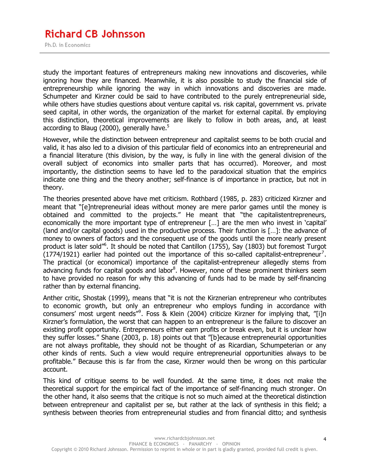#### **Richard CB Johnsson** Ph.D. in Economics

study the important features of entrepreneurs making new innovations and discoveries, while ignoring how they are financed. Meanwhile, it is also possible to study the financial side of entrepreneurship while ignoring the way in which innovations and discoveries are made. Schumpeter and Kirzner could be said to have contributed to the purely entrepreneurial side, while others have studies questions about venture capital vs. risk capital, government vs. private seed capital, in other words, the organization of the market for external capital. By employing this distinction, theoretical improvements are likely to follow in both areas, and, at least according to Blaug (2000), generally have. $5$ 

However, while the distinction between entrepreneur and capitalist seems to be both crucial and valid, it has also led to a division of this particular field of economics into an entrepreneurial and a financial literature (this division, by the way, is fully in line with the general division of the overall subject of economics into smaller parts that has occurred). Moreover, and most importantly, the distinction seems to have led to the paradoxical situation that the empirics indicate one thing and the theory another; self-finance is of importance in practice, but not in theory.

The theories presented above have met criticism. Rothbard (1985, p. 283) criticized Kirzner and meant that "[e]ntrepreneurial ideas without money are mere parlor games until the money is obtained and committed to the projects." He meant that "the capitalistentrepreneurs, economically the more important type of entrepreneur […] are the men who invest in 'capital' (land and/or capital goods) used in the productive process. Their function is […]: the advance of money to owners of factors and the consequent use of the goods until the more nearly present product is later sold<sup>16</sup>. It should be noted that Cantillon (1755), Say (1803) but foremost Turgot  $(1774/1921)$  earlier had pointed out the importance of this so-called capitalist-entrepreneur<sup>7</sup>. The practical (or economical) importance of the capitalist-entrepreneur allegedly stems from advancing funds for capital goods and labor<sup>8</sup>. However, none of these prominent thinkers seem to have provided no reason for why this advancing of funds had to be made by self-financing rather than by external financing.

Anther critic, Shostak (1999), means that "it is not the Kirznerian entrepreneur who contributes to economic growth, but only an entrepreneur who employs funding in accordance with consumers' most urgent needs"<sup>9</sup>. Foss & Klein (2004) criticize Kirzner for implying that, "[i]n Kirzner's formulation, the worst that can happen to an entrepreneur is the failure to discover an existing profit opportunity. Entrepreneurs either earn profits or break even, but it is unclear how they suffer losses." Shane (2003, p. 18) points out that "[b]ecause entrepreneurial opportunities are not always profitable, they should not be thought of as Ricardian, Schumpeterian or any other kinds of rents. Such a view would require entrepreneurial opportunities always to be profitable." Because this is far from the case, Kirzner would then be wrong on this particular account.

This kind of critique seems to be well founded. At the same time, it does not make the theoretical support for the empirical fact of the importance of self-financing much stronger. On the other hand, it also seems that the critique is not so much aimed at the theoretical distinction between entrepreneur and capitalist per se, but rather at the lack of synthesis in this field; a synthesis between theories from entrepreneurial studies and from financial ditto; and synthesis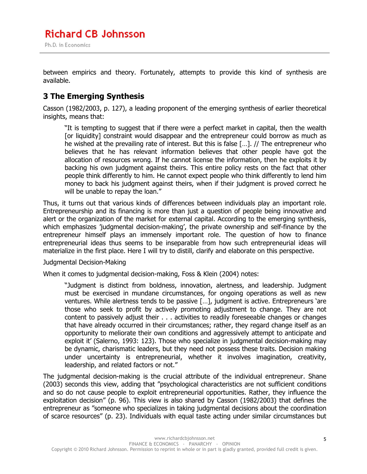between empirics and theory. Fortunately, attempts to provide this kind of synthesis are available.

#### **3 The Emerging Synthesis**

Casson (1982/2003, p. 127), a leading proponent of the emerging synthesis of earlier theoretical insights, means that:

"It is tempting to suggest that if there were a perfect market in capital, then the wealth [or liquidity] constraint would disappear and the entrepreneur could borrow as much as he wished at the prevailing rate of interest. But this is false […]. // The entrepreneur who believes that he has relevant information believes that other people have got the allocation of resources wrong. If he cannot license the information, then he exploits it by backing his own judgment against theirs. This entire policy rests on the fact that other people think differently to him. He cannot expect people who think differently to lend him money to back his judgment against theirs, when if their judgment is proved correct he will be unable to repay the loan."

Thus, it turns out that various kinds of differences between individuals play an important role. Entrepreneurship and its financing is more than just a question of people being innovative and alert or the organization of the market for external capital. According to the emerging synthesis, which emphasizes 'judgmental decision-making', the private ownership and self-finance by the entrepreneur himself plays an immensely important role. The question of how to finance entrepreneurial ideas thus seems to be inseparable from how such entrepreneurial ideas will materialize in the first place. Here I will try to distill, clarify and elaborate on this perspective.

#### Judgmental Decision-Making

When it comes to judgmental decision-making, Foss & Klein (2004) notes:

"Judgment is distinct from boldness, innovation, alertness, and leadership. Judgment must be exercised in mundane circumstances, for ongoing operations as well as new ventures. While alertness tends to be passive […], judgment is active. Entrepreneurs 'are those who seek to profit by actively promoting adjustment to change. They are not content to passively adjust their . . . activities to readily foreseeable changes or changes that have already occurred in their circumstances; rather, they regard change itself as an opportunity to meliorate their own conditions and aggressively attempt to anticipate and exploit it' (Salerno, 1993: 123). Those who specialize in judgmental decision-making may be dynamic, charismatic leaders, but they need not possess these traits. Decision making under uncertainty is entrepreneurial, whether it involves imagination, creativity, leadership, and related factors or not."

The judgmental decision-making is the crucial attribute of the individual entrepreneur. Shane (2003) seconds this view, adding that "psychological characteristics are not sufficient conditions and so do not cause people to exploit entrepreneurial opportunities. Rather, they influence the exploitation decision" (p. 96). This view is also shared by Casson (1982/2003) that defines the entrepreneur as "someone who specializes in taking judgmental decisions about the coordination of scarce resources" (p. 23). Individuals with equal taste acting under similar circumstances but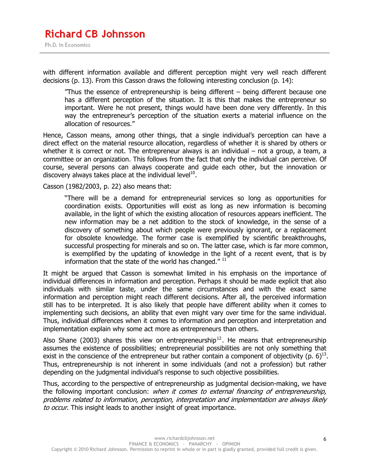with different information available and different perception might very well reach different decisions (p. 13). From this Casson draws the following interesting conclusion (p. 14):

"Thus the essence of entrepreneurship is being different – being different because one has a different perception of the situation. It is this that makes the entrepreneur so important. Were he not present, things would have been done very differently. In this way the entrepreneur's perception of the situation exerts a material influence on the allocation of resources."

Hence, Casson means, among other things, that a single individual's perception can have a direct effect on the material resource allocation, regardless of whether it is shared by others or whether it is correct or not. The entrepreneur always is an individual – not a group, a team, a committee or an organization. This follows from the fact that only the individual can perceive. Of course, several persons can always cooperate and guide each other, but the innovation or discovery always takes place at the individual level<sup>10</sup>.

Casson (1982/2003, p. 22) also means that:

"There will be a demand for entrepreneurial services so long as opportunities for coordination exists. Opportunities will exist as long as new information is becoming available, in the light of which the existing allocation of resources appears inefficient. The new information may be a net addition to the stock of knowledge, in the sense of a discovery of something about which people were previously ignorant, or a replacement for obsolete knowledge. The former case is exemplified by scientific breakthroughs, successful prospecting for minerals and so on. The latter case, which is far more common, is exemplified by the updating of knowledge in the light of a recent event, that is by information that the state of the world has changed." $11$ 

It might be argued that Casson is somewhat limited in his emphasis on the importance of individual differences in information and perception. Perhaps it should be made explicit that also individuals with similar taste, under the same circumstances and with the exact same information and perception might reach different decisions. After all, the perceived information still has to be interpreted. It is also likely that people have different ability when it comes to implementing such decisions, an ability that even might vary over time for the same individual. Thus, individual differences when it comes to information and perception and interpretation and implementation explain why some act more as entrepreneurs than others.

Also Shane (2003) shares this view on entrepreneurship<sup>12</sup>. He means that entrepreneurship assumes the existence of possibilities; entrepreneurial possibilities are not only something that exist in the conscience of the entrepreneur but rather contain a component of objectivity (p. 6)<sup>13</sup>. Thus, entrepreneurship is not inherent in some individuals (and not a profession) but rather depending on the judgmental individual's response to such objective possibilities.

Thus, according to the perspective of entrepreneurship as judgmental decision-making, we have the following important conclusion: when it comes to external financing of entrepreneurship, problems related to information, perception, interpretation and implementation are always likely to occur. This insight leads to another insight of great importance.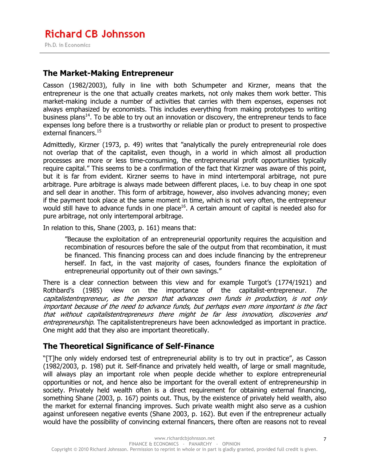#### **The Market-Making Entrepreneur**

Casson (1982/2003), fully in line with both Schumpeter and Kirzner, means that the entrepreneur is the one that actually creates markets, not only makes them work better. This market-making include a number of activities that carries with them expenses, expenses not always emphasized by economists. This includes everything from making prototypes to writing business plans<sup>14</sup>. To be able to try out an innovation or discovery, the entrepreneur tends to face expenses long before there is a trustworthy or reliable plan or product to present to prospective external financers.<sup>15</sup>

Admittedly, Kirzner (1973, p. 49) writes that "analytically the purely entrepreneurial role does not overlap that of the capitalist, even though, in a world in which almost all production processes are more or less time-consuming, the entrepreneurial profit opportunities typically require capital." This seems to be a confirmation of the fact that Kirzner was aware of this point, but it is far from evident. Kirzner seems to have in mind intertemporal arbitrage, not pure arbitrage. Pure arbitrage is always made between different places, i.e. to buy cheap in one spot and sell dear in another. This form of arbitrage, however, also involves advancing money; even if the payment took place at the same moment in time, which is not very often, the entrepreneur would still have to advance funds in one place<sup>16</sup>. A certain amount of capital is needed also for pure arbitrage, not only intertemporal arbitrage.

In relation to this, Shane (2003, p. 161) means that:

"Because the exploitation of an entrepreneurial opportunity requires the acquisition and recombination of resources before the sale of the output from that recombination, it must be financed. This financing process can and does include financing by the entrepreneur herself. In fact, in the vast majority of cases, founders finance the exploitation of entrepreneurial opportunity out of their own savings."

There is a clear connection between this view and for example Turgot's (1774/1921) and Rothbard's (1985) view on the importance of the capitalist-entrepreneur. The capitalistentrepreneur, as the person that advances own funds in production, is not only important because of the need to advance funds, but perhaps even more important is the fact that without capitalistentrepreneurs there might be far less innovation, discoveries and entrepreneurship. The capitalistentrepreneurs have been acknowledged as important in practice. One might add that they also are important theoretically.

#### **The Theoretical Significance of Self-Finance**

"[T]he only widely endorsed test of entrepreneurial ability is to try out in practice", as Casson (1982/2003, p. 198) put it. Self-finance and privately held wealth, of large or small magnitude, will always play an important role when people decide whether to explore entrepreneurial opportunities or not, and hence also be important for the overall extent of entrepreneurship in society. Privately held wealth often is a direct requirement for obtaining external financing, something Shane (2003, p. 167) points out. Thus, by the existence of privately held wealth, also the market for external financing improves. Such private wealth might also serve as a cushion against unforeseen negative events (Shane 2003, p. 162). But even if the entrepreneur actually would have the possibility of convincing external financers, there often are reasons not to reveal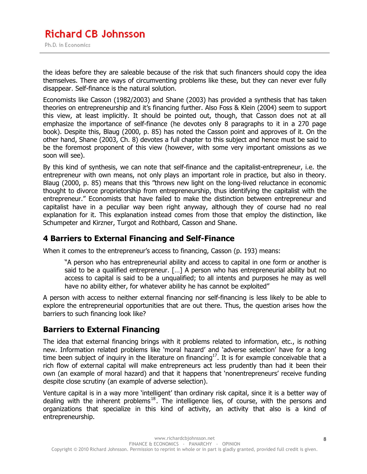the ideas before they are saleable because of the risk that such financers should copy the idea themselves. There are ways of circumventing problems like these, but they can never ever fully disappear. Self-finance is the natural solution.

Economists like Casson (1982/2003) and Shane (2003) has provided a synthesis that has taken theories on entrepreneurship and it's financing further. Also Foss & Klein (2004) seem to support this view, at least implicitly. It should be pointed out, though, that Casson does not at all emphasize the importance of self-finance (he devotes only 8 paragraphs to it in a 270 page book). Despite this, Blaug (2000, p. 85) has noted the Casson point and approves of it. On the other hand, Shane (2003, Ch. 8) devotes a full chapter to this subject and hence must be said to be the foremost proponent of this view (however, with some very important omissions as we soon will see).

By this kind of synthesis, we can note that self-finance and the capitalist-entrepreneur, i.e. the entrepreneur with own means, not only plays an important role in practice, but also in theory. Blaug (2000, p. 85) means that this "throws new light on the long-lived reluctance in economic thought to divorce proprietorship from entrepreneurship, thus identifying the capitalist with the entrepreneur." Economists that have failed to make the distinction between entrepreneur and capitalist have in a peculiar way been right anyway, although they of course had no real explanation for it. This explanation instead comes from those that employ the distinction, like Schumpeter and Kirzner, Turgot and Rothbard, Casson and Shane.

#### **4 Barriers to External Financing and Self-Finance**

When it comes to the entrepreneur's access to financing, Casson (p. 193) means:

"A person who has entrepreneurial ability and access to capital in one form or another is said to be a qualified entrepreneur. […] A person who has entrepreneurial ability but no access to capital is said to be a unqualified; to all intents and purposes he may as well have no ability either, for whatever ability he has cannot be exploited"

A person with access to neither external financing nor self-financing is less likely to be able to explore the entrepreneurial opportunities that are out there. Thus, the question arises how the barriers to such financing look like?

#### **Barriers to External Financing**

The idea that external financing brings with it problems related to information, etc., is nothing new. Information related problems like 'moral hazard' and 'adverse selection' have for a long time been subject of inquiry in the literature on financing<sup>17</sup>. It is for example conceivable that a rich flow of external capital will make entrepreneurs act less prudently than had it been their own (an example of moral hazard) and that it happens that 'nonentrepreneurs' receive funding despite close scrutiny (an example of adverse selection).

Venture capital is in a way more 'intelligent' than ordinary risk capital, since it is a better way of dealing with the inherent problems<sup>18</sup>. The intelligence lies, of course, with the persons and organizations that specialize in this kind of activity, an activity that also is a kind of entrepreneurship.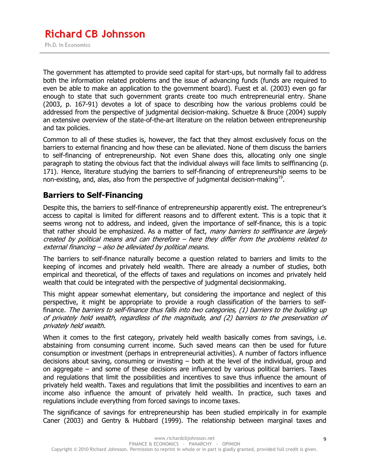The government has attempted to provide seed capital for start-ups, but normally fail to address both the information related problems and the issue of advancing funds (funds are required to even be able to make an application to the government board). Fuest et al. (2003) even go far enough to state that such government grants create too much entrepreneurial entry. Shane (2003, p. 167-91) devotes a lot of space to describing how the various problems could be addressed from the perspective of judgmental decision-making. Schuetze & Bruce (2004) supply an extensive overview of the state-of-the-art literature on the relation between entrepreneurship and tax policies.

Common to all of these studies is, however, the fact that they almost exclusively focus on the barriers to external financing and how these can be alleviated. None of them discuss the barriers to self-financing of entrepreneurship. Not even Shane does this, allocating only one single paragraph to stating the obvious fact that the individual always will face limits to selffinancing (p. 171). Hence, literature studying the barriers to self-financing of entrepreneurship seems to be non-existing, and, alas, also from the perspective of judgmental decision-making<sup>19</sup>.

#### **Barriers to Self-Financing**

Despite this, the barriers to self-finance of entrepreneurship apparently exist. The entrepreneur's access to capital is limited for different reasons and to different extent. This is a topic that it seems wrong not to address, and indeed, given the importance of self-finance, this is a topic that rather should be emphasized. As a matter of fact, many barriers to selffinance are largely created by political means and can therefore – here they differ from the problems related to external financing – also be alleviated by political means.

The barriers to self-finance naturally become a question related to barriers and limits to the keeping of incomes and privately held wealth. There are already a number of studies, both empirical and theoretical, of the effects of taxes and regulations on incomes and privately held wealth that could be integrated with the perspective of judgmental decisionmaking.

This might appear somewhat elementary, but considering the importance and neglect of this perspective, it might be appropriate to provide a rough classification of the barriers to selffinance. The barriers to self-finance thus falls into two categories, (1) barriers to the building up of privately held wealth, regardless of the magnitude, and (2) barriers to the preservation of privately held wealth.

When it comes to the first category, privately held wealth basically comes from savings, i.e. abstaining from consuming current income. Such saved means can then be used for future consumption or investment (perhaps in entrepreneurial activities). A number of factors influence decisions about saving, consuming or investing – both at the level of the individual, group and on aggregate – and some of these decisions are influenced by various political barriers. Taxes and regulations that limit the possibilities and incentives to save thus influence the amount of privately held wealth. Taxes and regulations that limit the possibilities and incentives to earn an income also influence the amount of privately held wealth. In practice, such taxes and regulations include everything from forced savings to income taxes.

The significance of savings for entrepreneurship has been studied empirically in for example Caner (2003) and Gentry & Hubbard (1999). The relationship between marginal taxes and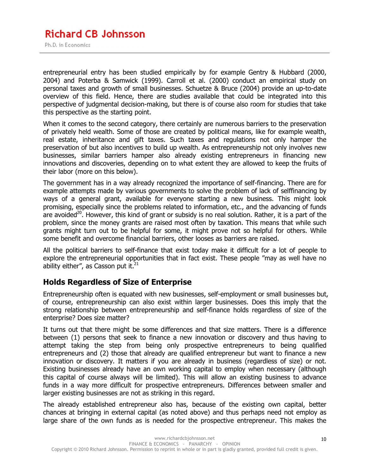entrepreneurial entry has been studied empirically by for example Gentry & Hubbard (2000, 2004) and Poterba & Samwick (1999). Carroll et al. (2000) conduct an empirical study on personal taxes and growth of small businesses. Schuetze & Bruce (2004) provide an up-to-date overview of this field. Hence, there are studies available that could be integrated into this perspective of judgmental decision-making, but there is of course also room for studies that take this perspective as the starting point.

When it comes to the second category, there certainly are numerous barriers to the preservation of privately held wealth. Some of those are created by political means, like for example wealth, real estate, inheritance and gift taxes. Such taxes and regulations not only hamper the preservation of but also incentives to build up wealth. As entrepreneurship not only involves new businesses, similar barriers hamper also already existing entrepreneurs in financing new innovations and discoveries, depending on to what extent they are allowed to keep the fruits of their labor (more on this below).

The government has in a way already recognized the importance of self-financing. There are for example attempts made by various governments to solve the problem of lack of selffinancing by ways of a general grant, available for everyone starting a new business. This might look promising, especially since the problems related to information, etc., and the advancing of funds are avoided<sup>20</sup>. However, this kind of grant or subsidy is no real solution. Rather, it is a part of the problem, since the money grants are raised most often by taxation. This means that while such grants might turn out to be helpful for some, it might prove not so helpful for others. While some benefit and overcome financial barriers, other looses as barriers are raised.

All the political barriers to self-finance that exist today make it difficult for a lot of people to explore the entrepreneurial opportunities that in fact exist. These people "may as well have no ability either", as Casson put it. $^{21}$ 

#### **Holds Regardless of Size of Enterprise**

Entrepreneurship often is equated with new businesses, self-employment or small businesses but, of course, entrepreneurship can also exist within larger businesses. Does this imply that the strong relationship between entrepreneurship and self-finance holds regardless of size of the enterprise? Does size matter?

It turns out that there might be some differences and that size matters. There is a difference between (1) persons that seek to finance a new innovation or discovery and thus having to attempt taking the step from being only prospective entrepreneurs to being qualified entrepreneurs and (2) those that already are qualified entrepreneur but want to finance a new innovation or discovery. It matters if you are already in business (regardless of size) or not. Existing businesses already have an own working capital to employ when necessary (although this capital of course always will be limited). This will allow an existing business to advance funds in a way more difficult for prospective entrepreneurs. Differences between smaller and larger existing businesses are not as striking in this regard.

The already established entrepreneur also has, because of the existing own capital, better chances at bringing in external capital (as noted above) and thus perhaps need not employ as large share of the own funds as is needed for the prospective entrepreneur. This makes the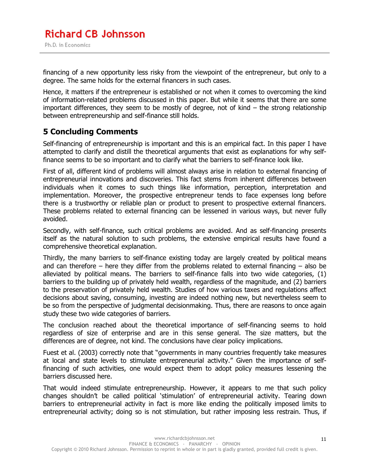financing of a new opportunity less risky from the viewpoint of the entrepreneur, but only to a degree. The same holds for the external financers in such cases.

Hence, it matters if the entrepreneur is established or not when it comes to overcoming the kind of information-related problems discussed in this paper. But while it seems that there are some important differences, they seem to be mostly of degree, not of kind – the strong relationship between entrepreneurship and self-finance still holds.

#### **5 Concluding Comments**

Self-financing of entrepreneurship is important and this is an empirical fact. In this paper I have attempted to clarify and distill the theoretical arguments that exist as explanations for why selffinance seems to be so important and to clarify what the barriers to self-finance look like.

First of all, different kind of problems will almost always arise in relation to external financing of entrepreneurial innovations and discoveries. This fact stems from inherent differences between individuals when it comes to such things like information, perception, interpretation and implementation. Moreover, the prospective entrepreneur tends to face expenses long before there is a trustworthy or reliable plan or product to present to prospective external financers. These problems related to external financing can be lessened in various ways, but never fully avoided.

Secondly, with self-finance, such critical problems are avoided. And as self-financing presents itself as the natural solution to such problems, the extensive empirical results have found a comprehensive theoretical explanation.

Thirdly, the many barriers to self-finance existing today are largely created by political means and can therefore – here they differ from the problems related to external financing – also be alleviated by political means. The barriers to self-finance falls into two wide categories, (1) barriers to the building up of privately held wealth, regardless of the magnitude, and (2) barriers to the preservation of privately held wealth. Studies of how various taxes and regulations affect decisions about saving, consuming, investing are indeed nothing new, but nevertheless seem to be so from the perspective of judgmental decisionmaking. Thus, there are reasons to once again study these two wide categories of barriers.

The conclusion reached about the theoretical importance of self-financing seems to hold regardless of size of enterprise and are in this sense general. The size matters, but the differences are of degree, not kind. The conclusions have clear policy implications.

Fuest et al. (2003) correctly note that "governments in many countries frequently take measures at local and state levels to stimulate entrepreneurial activity." Given the importance of selffinancing of such activities, one would expect them to adopt policy measures lessening the barriers discussed here.

That would indeed stimulate entrepreneurship. However, it appears to me that such policy changes shouldn't be called political 'stimulation' of entrepreneurial activity. Tearing down barriers to entrepreneurial activity in fact is more like ending the politically imposed limits to entrepreneurial activity; doing so is not stimulation, but rather imposing less restrain. Thus, if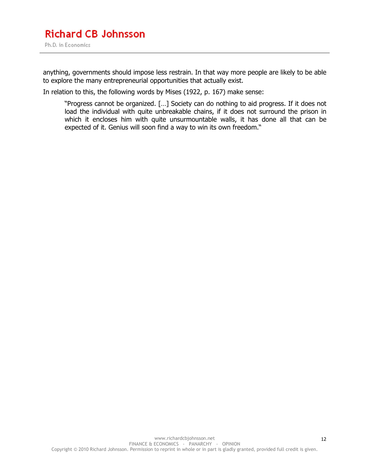anything, governments should impose less restrain. In that way more people are likely to be able to explore the many entrepreneurial opportunities that actually exist.

In relation to this, the following words by Mises (1922, p. 167) make sense:

"Progress cannot be organized. […] Society can do nothing to aid progress. If it does not load the individual with quite unbreakable chains, if it does not surround the prison in which it encloses him with quite unsurmountable walls, it has done all that can be expected of it. Genius will soon find a way to win its own freedom."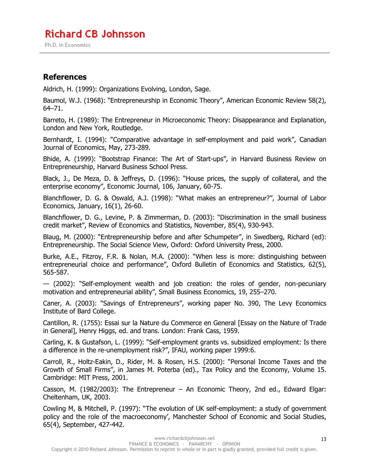Ph.D. in Economics

#### **References**

Aldrich, H. (1999): Organizations Evolving, London, Sage.

Baumol, W.J. (1968): "Entrepreneurship in Economic Theory", American Economic Review 58(2), 64–71.

Barreto, H. (1989): The Entrepreneur in Microeconomic Theory: Disappearance and Explanation, London and New York, Routledge.

Bernhardt, I. (1994): "Comparative advantage in self-employment and paid work", Canadian Journal of Economics, May, 273-289.

Bhide, A. (1999): "Bootstrap Finance: The Art of Start-ups", in Harvard Business Review on Entrepreneurship, Harvard Business School Press.

Black, J., De Meza, D. & Jeffreys, D. (1996): "House prices, the supply of collateral, and the enterprise economy", Economic Journal, 106, January, 60-75.

Blanchflower, D. G. & Oswald, A.J. (1998): "What makes an entrepreneur?", Journal of Labor Economics, January, 16(1), 26-60.

Blanchflower, D. G., Levine, P. & Zimmerman, D. (2003): "Discrimination in the small business credit market", Review of Economics and Statistics, November, 85(4), 930-943.

Blaug, M. (2000): "Entrepreneurship before and after Schumpeter", in Swedberg, Richard (ed): Entrepreneurship. The Social Science View, Oxford: Oxford University Press, 2000.

Burke, A.E., Fitzroy, F.R. & Nolan, M.A. (2000): "When less is more: distinguishing between entrepreneurial choice and performance", Oxford Bulletin of Economics and Statistics, 62(5), 565-587.

— (2002): "Self-employment wealth and job creation: the roles of gender, non-pecuniary motivation and entrepreneurial ability", Small Business Economics, 19, 255–270.

Caner, A. (2003): "Savings of Entrepreneurs", working paper No. 390, The Levy Economics Institute of Bard College.

Cantillon, R. (1755): Essai sur la Nature du Commerce en General [Essay on the Nature of Trade in General], Henry Higgs, ed. and trans. London: Frank Cass, 1959.

Carling, K. & Gustafson, L. (1999): "Self-employment grants vs. subsidized employment: Is there a difference in the re-unemployment risk?", IFAU, working paper 1999:6.

Carroll, R., Holtz-Eakin, D., Rider, M. & Rosen, H.S. (2000): "Personal Income Taxes and the Growth of Small Firms", in James M. Poterba (ed)., Tax Policy and the Economy, Volume 15. Cambridge: MIT Press, 2001.

Casson, M. (1982/2003): The Entrepreneur – An Economic Theory, 2nd ed., Edward Elgar: Cheltenham, UK, 2003.

Cowling M, & Mitchell, P. (1997): "The evolution of UK self-employment: a study of government policy and the role of the macroeconomy', Manchester School of Economic and Social Studies, 65(4), September, 427-442.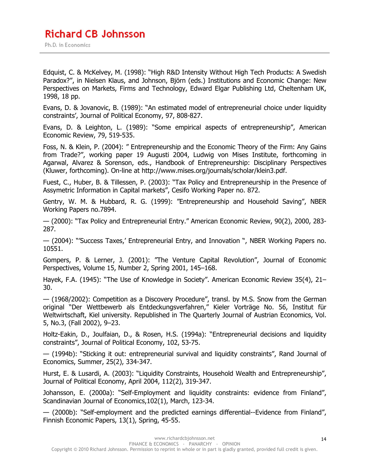Edquist, C. & McKelvey, M. (1998): "High R&D Intensity Without High Tech Products: A Swedish Paradox?", in Nielsen Klaus, and Johnson, Björn (eds.) Institutions and Economic Change: New Perspectives on Markets, Firms and Technology, Edward Elgar Publishing Ltd, Cheltenham UK, 1998, 18 pp.

Evans, D. & Jovanovic, B. (1989): "An estimated model of entrepreneurial choice under liquidity constraints', Journal of Political Economy, 97, 808-827.

Evans, D. & Leighton, L. (1989): "Some empirical aspects of entrepreneurship", American Economic Review, 79, 519-535.

Foss, N. & Klein, P. (2004): " Entrepreneurship and the Economic Theory of the Firm: Any Gains from Trade?", working paper 19 Augusti 2004, Ludwig von Mises Institute, forthcoming in Agarwal, Alvarez & Sorenson, eds., Handbook of Entrepreneurship: Disciplinary Perspectives (Kluwer, forthcoming). On-line at http://www.mises.org/journals/scholar/klein3.pdf.

Fuest, C., Huber, B. & Tillessen, P. (2003): "Tax Policy and Entrepreneurship in the Presence of Assymetric Information in Capital markets", Cesifo Working Paper no. 872.

Gentry, W. M. & Hubbard, R. G. (1999): "Entrepreneurship and Household Saving", NBER Working Papers no.7894.

— (2000): "Tax Policy and Entrepreneurial Entry." American Economic Review, 90(2), 2000, 283- 287.

— (2004): "'Success Taxes,' Entrepreneurial Entry, and Innovation ", NBER Working Papers no. 10551.

Gompers, P. & Lerner, J. (2001): "The Venture Capital Revolution", Journal of Economic Perspectives, Volume 15, Number 2, Spring 2001, 145–168.

Hayek, F.A. (1945): "The Use of Knowledge in Society". American Economic Review 35(4), 21– 30.

— (1968/2002): Competition as a Discovery Procedure", transl. by M.S. Snow from the German original "Der Wettbewerb als Entdeckungsverfahren," Kieler Vorträge No. 56, Institut für Weltwirtschaft, Kiel university. Republished in The Quarterly Journal of Austrian Economics, Vol. 5, No.3, (Fall 2002), 9–23.

Holtz-Eakin, D., Joulfaian, D., & Rosen, H.S. (1994a): "Entrepreneurial decisions and liquidity constraints", Journal of Political Economy, 102, 53-75.

— (1994b): "Sticking it out: entrepreneurial survival and liquidity constraints", Rand Journal of Economics, Summer, 25(2), 334-347.

Hurst, E. & Lusardi, A. (2003): "Liquidity Constraints, Household Wealth and Entrepreneurship", Journal of Political Economy, April 2004, 112(2), 319-347.

Johansson, E. (2000a): "Self-Employment and liquidity constraints: evidence from Finland", Scandinavian Journal of Economics,102(1), March, 123-34.

— (2000b): "Self-employment and the predicted earnings differential--Evidence from Finland", Finnish Economic Papers, 13(1), Spring, 45-55.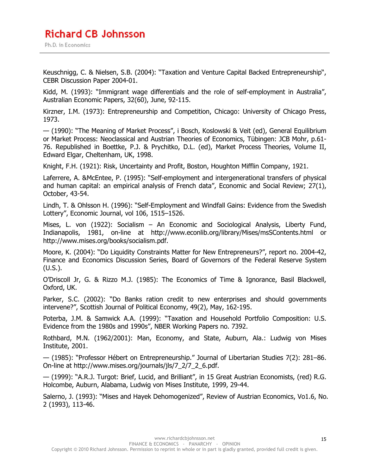## **Richard CB Johnsson**

Ph.D. in Economics

Keuschnigg, C. & Nielsen, S.B. (2004): "Taxation and Venture Capital Backed Entrepreneurship", CEBR Discussion Paper 2004-01.

Kidd, M. (1993): "Immigrant wage differentials and the role of self-employment in Australia", Australian Economic Papers, 32(60), June, 92-115.

Kirzner, I.M. (1973): Entrepreneurship and Competition, Chicago: University of Chicago Press, 1973.

— (1990): "The Meaning of Market Process", i Bosch, Koslowski & Veit (ed), General Equilibrium or Market Process: Neoclassical and Austrian Theories of Economics, Tübingen: JCB Mohr, p.61- 76. Republished in Boettke, P.J. & Prychitko, D.L. (ed), Market Process Theories, Volume II, Edward Elgar, Cheltenham, UK, 1998.

Knight, F.H. (1921): Risk, Uncertainty and Profit, Boston, Houghton Mifflin Company, 1921.

Laferrere, A. &McEntee, P. (1995): "Self-employment and intergenerational transfers of physical and human capital: an empirical analysis of French data", Economic and Social Review; 27(1), October, 43-54.

Lindh, T. & Ohlsson H. (1996): "Self-Employment and Windfall Gains: Evidence from the Swedish Lottery", Economic Journal, vol 106, 1515–1526.

Mises, L. von (1922): Socialism – An Economic and Sociological Analysis, Liberty Fund, Indianapolis, 1981, on-line at http://www.econlib.org/library/Mises/msSContents.html or http://www.mises.org/books/socialism.pdf.

Moore, K. (2004): "Do Liquidity Constraints Matter for New Entrepreneurs?", report no. 2004-42, Finance and Economics Discussion Series, Board of Governors of the Federal Reserve System (U.S.).

O'Driscoll Jr, G. & Rizzo M.J. (1985): The Economics of Time & Ignorance, Basil Blackwell, Oxford, UK.

Parker, S.C. (2002): "Do Banks ration credit to new enterprises and should governments intervene?", Scottish Journal of Political Economy, 49(2), May, 162-195.

Poterba, J.M. & Samwick A.A. (1999): "Taxation and Household Portfolio Composition: U.S. Evidence from the 1980s and 1990s", NBER Working Papers no. 7392.

Rothbard, M.N. (1962/2001): Man, Economy, and State, Auburn, Ala.: Ludwig von Mises Institute, 2001.

— (1985): "Professor Hébert on Entrepreneurship." Journal of Libertarian Studies 7(2): 281–86. On-line at http://www.mises.org/journals/jls/7\_2/7\_2\_6.pdf.

— (1999): "A.R.J. Turgot: Brief, Lucid, and Brilliant", in 15 Great Austrian Economists, (red) R.G. Holcombe, Auburn, Alabama, Ludwig von Mises Institute, 1999, 29-44.

Salerno, J. (1993): "Mises and Hayek Dehomogenized", Review of Austrian Economics, Vo1.6, No. 2 (1993), 113-46.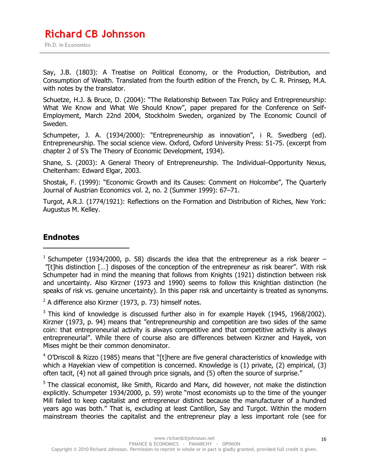Say, J.B. (1803): A Treatise on Political Economy, or the Production, Distribution, and Consumption of Wealth. Translated from the fourth edition of the French, by C. R. Prinsep, M.A. with notes by the translator.

Schuetze, H.J. & Bruce, D. (2004): "The Relationship Between Tax Policy and Entrepreneurship: What We Know and What We Should Know", paper prepared for the Conference on Self-Employment, March 22nd 2004, Stockholm Sweden, organized by The Economic Council of Sweden.

Schumpeter, J. A. (1934/2000): "Entrepreneurship as innovation", i R. Swedberg (ed). Entrepreneurship. The social science view. Oxford, Oxford University Press: 51-75. (excerpt from chapter 2 of S's The Theory of Economic Development, 1934).

Shane, S. (2003): A General Theory of Entrepreneurship. The Individual–Opportunity Nexus, Cheltenham: Edward Elgar, 2003.

Shostak, F. (1999): "Economic Growth and its Causes: Comment on Holcombe", The Quarterly Journal of Austrian Economics vol. 2, no. 2 (Summer 1999): 67–71.

Turgot, A.R.J. (1774/1921): Reflections on the Formation and Distribution of Riches, New York: Augustus M. Kelley.

#### **Endnotes**

 $\overline{a}$ 

 $2$  A difference also Kirzner (1973, p. 73) himself notes.

 $3$  This kind of knowledge is discussed further also in for example Hayek (1945, 1968/2002). Kirzner (1973, p. 94) means that "entrepreneurship and competition are two sides of the same coin: that entrepreneurial activity is always competitive and that competitive activity is always entrepreneurial". While there of course also are differences between Kirzner and Hayek, von Mises might be their common denominator.

 $4$  O'Driscoll & Rizzo (1985) means that "[t]here are five general characteristics of knowledge with which a Hayekian view of competition is concerned. Knowledge is (1) private, (2) empirical, (3) often tacit, (4) not all gained through price signals, and (5) often the source of surprise."

<sup>5</sup> The classical economist, like Smith, Ricardo and Marx, did however, not make the distinction explicitly. Schumpeter 1934/2000, p. 59) wrote "most economists up to the time of the younger Mill failed to keep capitalist and entrepreneur distinct because the manufacturer of a hundred years ago was both." That is, excluding at least Cantillon, Say and Turgot. Within the modern mainstream theories the capitalist and the entrepreneur play a less important role (see for

<sup>&</sup>lt;sup>1</sup> Schumpeter (1934/2000, p. 58) discards the idea that the entrepreneur as a risk bearer  $-$  "[t]his distinction […] disposes of the conception of the entrepreneur as risk bearer". With risk Schumpeter had in mind the meaning that follows from Knights (1921) distinction between risk and uncertainty. Also Kirzner (1973 and 1990) seems to follow this Knightian distinction (he speaks of risk vs. genuine uncertainty). In this paper risk and uncertainty is treated as synonyms.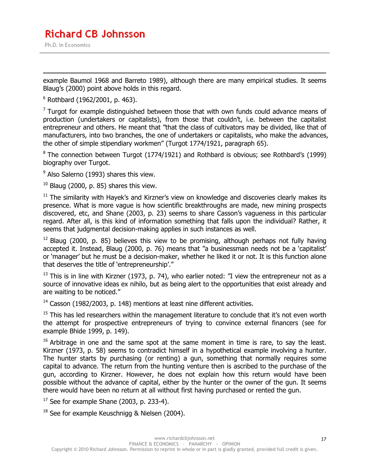example Baumol 1968 and Barreto 1989), although there are many empirical studies. It seems Blaug's (2000) point above holds in this regard.

6 Rothbard (1962/2001, p. 463).

 $\overline{a}$ 

 $<sup>7</sup>$  Turgot for example distinguished between those that with own funds could advance means of</sup> production (undertakers or capitalists), from those that couldn't, i.e. between the capitalist entrepreneur and others. He meant that "that the class of cultivators may be divided, like that of manufacturers, into two branches, the one of undertakers or capitalists, who make the advances, the other of simple stipendiary workmen" (Turgot 1774/1921, paragraph 65).

<sup>8</sup> The connection between Turgot (1774/1921) and Rothbard is obvious; see Rothbard's (1999) biography over Turgot.

 $<sup>9</sup>$  Also Salerno (1993) shares this view.</sup>

 $10$  Blaug (2000, p. 85) shares this view.

 $11$  The similarity with Hayek's and Kirzner's view on knowledge and discoveries clearly makes its presence. What is more vague is how scientific breakthroughs are made, new mining prospects discovered, etc, and Shane (2003, p. 23) seems to share Casson's vagueness in this particular regard. After all, is this kind of information something that falls upon the individual? Rather, it seems that judgmental decision-making applies in such instances as well.

 $12$  Blaug (2000, p. 85) believes this view to be promising, although perhaps not fully having accepted it. Instead, Blaug (2000, p. 76) means that "a businessman needs not be a 'capitalist' or 'manager' but he must be a decision-maker, whether he liked it or not. It is this function alone that deserves the title of 'entrepreneurship'."

 $13$  This is in line with Kirzner (1973, p. 74), who earlier noted: "I view the entrepreneur not as a source of innovative ideas ex nihilo, but as being alert to the opportunities that exist already and are waiting to be noticed."

<sup>14</sup> Casson (1982/2003, p. 148) mentions at least nine different activities.

 $15$  This has led researchers within the management literature to conclude that it's not even worth the attempt for prospective entrepreneurs of trying to convince external financers (see for example Bhide 1999, p. 149).

 $16$  Arbitrage in one and the same spot at the same moment in time is rare, to say the least. Kirzner (1973, p. 58) seems to contradict himself in a hypothetical example involving a hunter. The hunter starts by purchasing (or renting) a gun, something that normally requires some capital to advance. The return from the hunting venture then is ascribed to the purchase of the gun, according to Kirzner. However, he does not explain how this return would have been possible without the advance of capital, either by the hunter or the owner of the gun. It seems there would have been no return at all without first having purchased or rented the gun.

 $17$  See for example Shane (2003, p. 233-4).

 $18$  See for example Keuschnigg & Nielsen (2004).